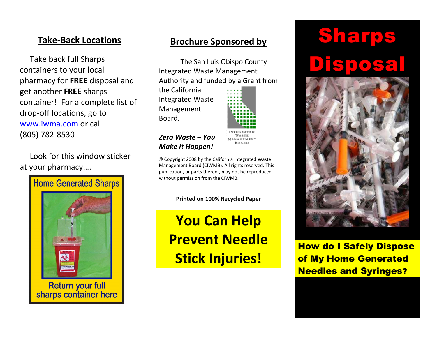#### Take-Back Locations

Take back full Sharps containers to your local pharmacy for FREE disposal and get another FREE sharps container! For a complete list of drop-off locations, go to www.iwma.com or call (805) 782-8530

Look for this window sticker at your pharmacy….



#### Brochure Sponsored by

 The San Luis Obispo County Integrated Waste Management Authority and funded by a Grant from

the California Integrated Waste Management Board.



Zero Waste – You Make It Happen!

© Copyright 2008 by the California Integrated Waste Management Board (CIWMB). All rights reserved. This publication, or parts thereof, may not be reproduced without permission from the CIWMB.

Printed on 100% Recycled Paper

You Can Help Prevent Needle Stick Injuries!

# Sharps Disposal



How do I Safely Dispose of My Home Generated Needles and Syringes?